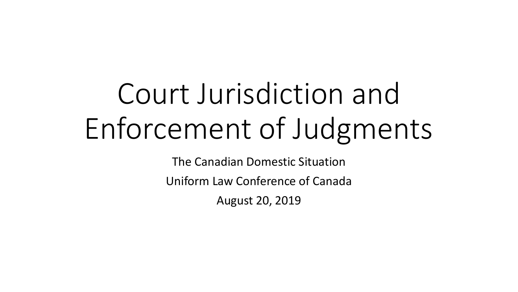# Court Jurisdiction and Enforcement of Judgments

The Canadian Domestic Situation

Uniform Law Conference of Canada

August 20, 2019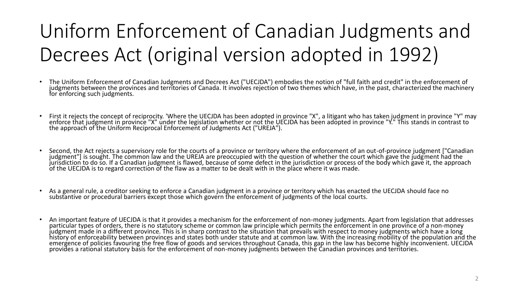### Uniform Enforcement of Canadian Judgments and Decrees Act (original version adopted in 1992)

- The Uniform Enforcement of Canadian Judgments and Decrees Act ("UECJDA") embodies the notion of "full faith and credit" in the enforcement of judgments between the provinces and territories of Canada. It involves rejection of two themes which have, in the past, characterized the machinery for enforcing such judgments.
- First it rejects the concept of reciprocity. 'Where the UECJDA has been adopted in province "X", a litigant who has taken judgment in province "Y" may enforce that judgment in province "X" under the legislation whether or not the UECJDA has been adopted in province "Y." This stands in contrast to the approach of the Uniform Reciprocal Enforcement of Judgments Act ("UREJA").
- Second, the Act rejects a supervisory role for the courts of a province or territory where the enforcement of an out-of-province judgment ["Canadian judgment"] is sought. The common law and the UREJA are preoccupied with the question of whether the court which gave the judgment had the jurisdiction to do so. If a Canadian judgment is flawed, because of some defect in the jurisdiction or process of the body which gave it, the approach of the UECJDA is to regard correction of the flaw as a matter to be dealt with in the place where it was made.
- As a general rule, a creditor seeking to enforce a Canadian judgment in a province or territory which has enacted the UECJDA should face no substantive or procedural barriers except those which govern the enforcement of judgments of the local courts.
- An important feature of UECJDA is that it provides a mechanism for the enforcement of non-money judgments. Apart from legislation that addresses particular types of orders, there is no statutory scheme or common law principle which permits the enforcement in one province of a non-money judgment made in a different province. This is in sharp contrast to the situation that prevails with respect to money judgments which have a long history of enforceability between provinces and states both under statute and at common law. With the increasing mobility of the population and the emergence of policies favouring the free flow of goods and services throughout Canada, this gap in the law has become highly inconvenient. UECJDA provides a rational statutory basis for the enforcement of non-money judgments between the Canadian provinces and territories.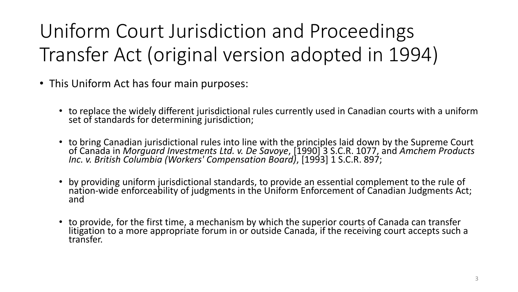Uniform Court Jurisdiction and Proceedings Transfer Act (original version adopted in 1994)

- This Uniform Act has four main purposes:
	- to replace the widely different jurisdictional rules currently used in Canadian courts with a uniform set of standards for determining jurisdiction;
	- to bring Canadian jurisdictional rules into line with the principles laid down by the Supreme Court of Canada in *Morguard Investments Ltd. v. De Savoye*, [1990] 3 S.C.R. 1077, and *Amchem Products Inc. v. British Columbia (Workers' Compensation Board)*, [1993] 1 S.C.R. 897;
	- by providing uniform jurisdictional standards, to provide an essential complement to the rule of nation-wide enforceability of judgments in the Uniform Enforcement of Canadian Judgments Act; and
	- to provide, for the first time, a mechanism by which the superior courts of Canada can transfer litigation to a more appropriate forum in or outside Canada, if the receiving court accepts such a transfer.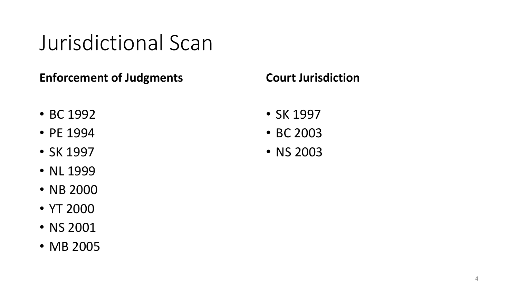## Jurisdictional Scan

#### **Enforcement of Judgments**

- BC 1992
- PE 1994
- SK 1997
- NL 1999
- NB 2000
- YT 2000
- NS 2001
- MB 2005

#### **Court Jurisdiction**

- SK 1997
- BC 2003
- NS 2003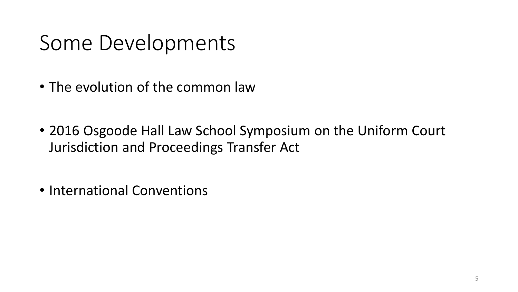## Some Developments

- The evolution of the common law
- 2016 Osgoode Hall Law School Symposium on the Uniform Court Jurisdiction and Proceedings Transfer Act
- International Conventions